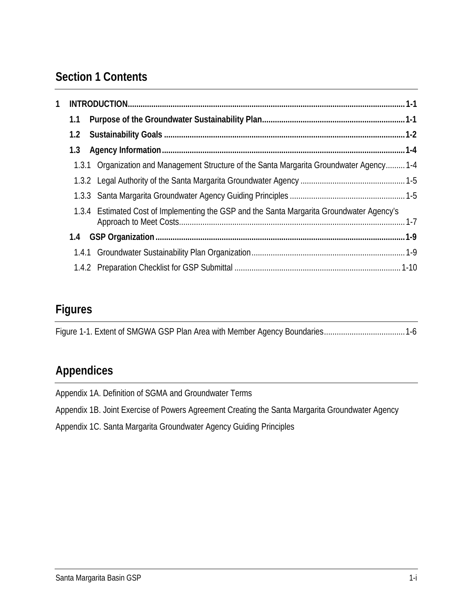# **Section 1 Contents**

| 1 |     |                                                                                           |  |
|---|-----|-------------------------------------------------------------------------------------------|--|
|   | 1.1 |                                                                                           |  |
|   | 1.2 |                                                                                           |  |
|   | 1.3 |                                                                                           |  |
|   |     | 1.3.1 Organization and Management Structure of the Santa Margarita Groundwater Agency 1-4 |  |
|   |     |                                                                                           |  |
|   |     |                                                                                           |  |
|   |     | 1.3.4 Estimated Cost of Implementing the GSP and the Santa Margarita Groundwater Agency's |  |
|   |     |                                                                                           |  |
|   |     |                                                                                           |  |
|   |     |                                                                                           |  |

## **Figures**

[Figure 1-1. Extent of SMGWA GSP Plan Area with Member Agency Boundaries......................................1-6](#page-6-0)

# **Appendices**

Appendix 1A. Definition of SGMA and Groundwater Terms

Appendix 1B. Joint Exercise of Powers Agreement Creating the Santa Margarita Groundwater Agency

Appendix 1C. Santa Margarita Groundwater Agency Guiding Principles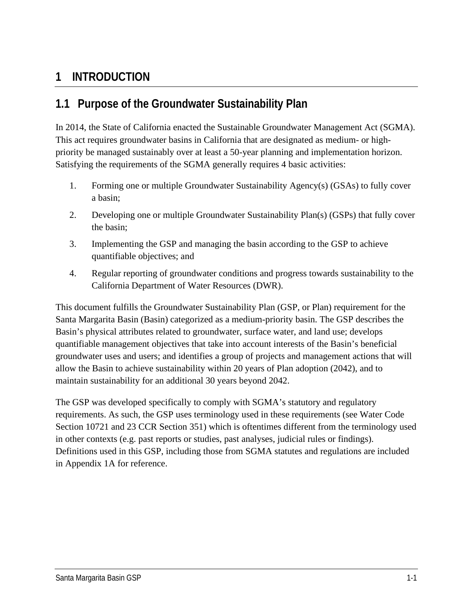## <span id="page-1-0"></span>**1 INTRODUCTION**

## <span id="page-1-1"></span>**1.1 Purpose of the Groundwater Sustainability Plan**

In 2014, the State of California enacted the Sustainable Groundwater Management Act (SGMA). This act requires groundwater basins in California that are designated as medium- or highpriority be managed sustainably over at least a 50-year planning and implementation horizon. Satisfying the requirements of the SGMA generally requires 4 basic activities:

- 1. Forming one or multiple Groundwater Sustainability Agency(s) (GSAs) to fully cover a basin;
- 2. Developing one or multiple Groundwater Sustainability Plan(s) (GSPs) that fully cover the basin;
- 3. Implementing the GSP and managing the basin according to the GSP to achieve quantifiable objectives; and
- 4. Regular reporting of groundwater conditions and progress towards sustainability to the California Department of Water Resources (DWR).

This document fulfills the Groundwater Sustainability Plan (GSP, or Plan) requirement for the Santa Margarita Basin (Basin) categorized as a medium-priority basin. The GSP describes the Basin's physical attributes related to groundwater, surface water, and land use; develops quantifiable management objectives that take into account interests of the Basin's beneficial groundwater uses and users; and identifies a group of projects and management actions that will allow the Basin to achieve sustainability within 20 years of Plan adoption (2042), and to maintain sustainability for an additional 30 years beyond 2042.

The GSP was developed specifically to comply with SGMA's statutory and regulatory requirements. As such, the GSP uses terminology used in these requirements (see Water Code Section 10721 and 23 CCR Section 351) which is oftentimes different from the terminology used in other contexts (e.g. past reports or studies, past analyses, judicial rules or findings). Definitions used in this GSP, including those from SGMA statutes and regulations are included in Appendix 1A for reference.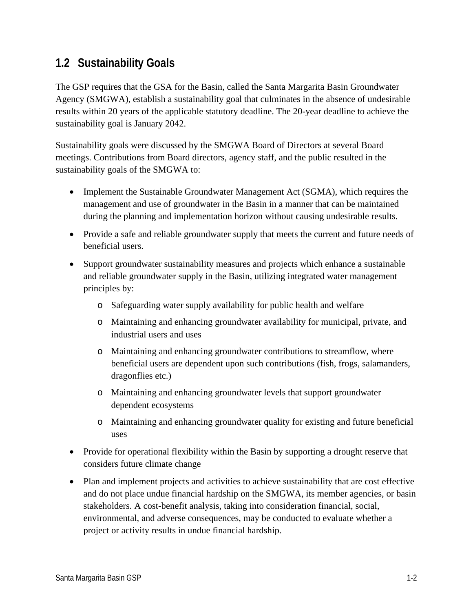## <span id="page-2-0"></span>**1.2 Sustainability Goals**

The GSP requires that the GSA for the Basin, called the Santa Margarita Basin Groundwater Agency (SMGWA), establish a sustainability goal that culminates in the absence of undesirable results within 20 years of the applicable statutory deadline. The 20-year deadline to achieve the sustainability goal is January 2042.

Sustainability goals were discussed by the SMGWA Board of Directors at several Board meetings. Contributions from Board directors, agency staff, and the public resulted in the sustainability goals of the SMGWA to:

- Implement the Sustainable Groundwater Management Act (SGMA), which requires the management and use of groundwater in the Basin in a manner that can be maintained during the planning and implementation horizon without causing undesirable results.
- Provide a safe and reliable groundwater supply that meets the current and future needs of beneficial users.
- Support groundwater sustainability measures and projects which enhance a sustainable and reliable groundwater supply in the Basin, utilizing integrated water management principles by:
	- o Safeguarding water supply availability for public health and welfare
	- o Maintaining and enhancing groundwater availability for municipal, private, and industrial users and uses
	- o Maintaining and enhancing groundwater contributions to streamflow, where beneficial users are dependent upon such contributions (fish, frogs, salamanders, dragonflies etc.)
	- o Maintaining and enhancing groundwater levels that support groundwater dependent ecosystems
	- o Maintaining and enhancing groundwater quality for existing and future beneficial uses
- Provide for operational flexibility within the Basin by supporting a drought reserve that considers future climate change
- Plan and implement projects and activities to achieve sustainability that are cost effective and do not place undue financial hardship on the SMGWA, its member agencies, or basin stakeholders. A cost-benefit analysis, taking into consideration financial, social, environmental, and adverse consequences, may be conducted to evaluate whether a project or activity results in undue financial hardship.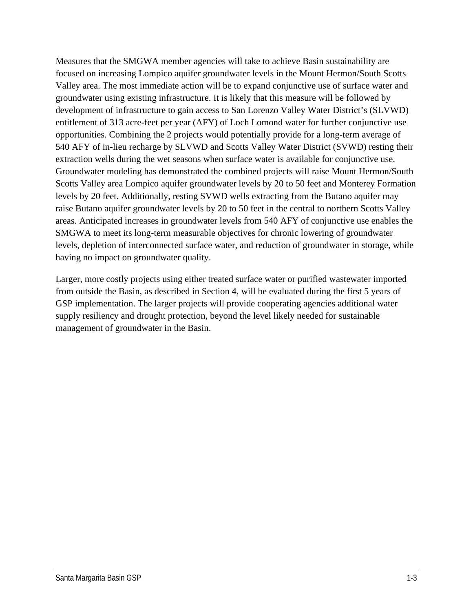Measures that the SMGWA member agencies will take to achieve Basin sustainability are focused on increasing Lompico aquifer groundwater levels in the Mount Hermon/South Scotts Valley area. The most immediate action will be to expand conjunctive use of surface water and groundwater using existing infrastructure. It is likely that this measure will be followed by development of infrastructure to gain access to San Lorenzo Valley Water District's (SLVWD) entitlement of 313 acre-feet per year (AFY) of Loch Lomond water for further conjunctive use opportunities. Combining the 2 projects would potentially provide for a long-term average of 540 AFY of in-lieu recharge by SLVWD and Scotts Valley Water District (SVWD) resting their extraction wells during the wet seasons when surface water is available for conjunctive use. Groundwater modeling has demonstrated the combined projects will raise Mount Hermon/South Scotts Valley area Lompico aquifer groundwater levels by 20 to 50 feet and Monterey Formation levels by 20 feet. Additionally, resting SVWD wells extracting from the Butano aquifer may raise Butano aquifer groundwater levels by 20 to 50 feet in the central to northern Scotts Valley areas. Anticipated increases in groundwater levels from 540 AFY of conjunctive use enables the SMGWA to meet its long-term measurable objectives for chronic lowering of groundwater levels, depletion of interconnected surface water, and reduction of groundwater in storage, while having no impact on groundwater quality.

Larger, more costly projects using either treated surface water or purified wastewater imported from outside the Basin, as described in Section 4, will be evaluated during the first 5 years of GSP implementation. The larger projects will provide cooperating agencies additional water supply resiliency and drought protection, beyond the level likely needed for sustainable management of groundwater in the Basin.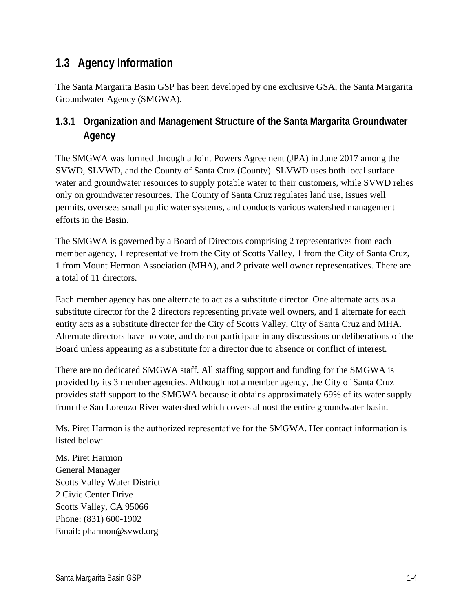## <span id="page-4-0"></span>**1.3 Agency Information**

The Santa Margarita Basin GSP has been developed by one exclusive GSA, the Santa Margarita Groundwater Agency (SMGWA).

### <span id="page-4-1"></span>**1.3.1 Organization and Management Structure of the Santa Margarita Groundwater Agency**

The SMGWA was formed through a Joint Powers Agreement (JPA) in June 2017 among the SVWD, SLVWD, and the County of Santa Cruz (County). SLVWD uses both local surface water and groundwater resources to supply potable water to their customers, while SVWD relies only on groundwater resources. The County of Santa Cruz regulates land use, issues well permits, oversees small public water systems, and conducts various watershed management efforts in the Basin.

The SMGWA is governed by a Board of Directors comprising 2 representatives from each member agency, 1 representative from the City of Scotts Valley, 1 from the City of Santa Cruz, 1 from Mount Hermon Association (MHA), and 2 private well owner representatives. There are a total of 11 directors.

Each member agency has one alternate to act as a substitute director. One alternate acts as a substitute director for the 2 directors representing private well owners, and 1 alternate for each entity acts as a substitute director for the City of Scotts Valley, City of Santa Cruz and MHA. Alternate directors have no vote, and do not participate in any discussions or deliberations of the Board unless appearing as a substitute for a director due to absence or conflict of interest.

There are no dedicated SMGWA staff. All staffing support and funding for the SMGWA is provided by its 3 member agencies. Although not a member agency, the City of Santa Cruz provides staff support to the SMGWA because it obtains approximately 69% of its water supply from the San Lorenzo River watershed which covers almost the entire groundwater basin.

Ms. Piret Harmon is the authorized representative for the SMGWA. Her contact information is listed below:

Ms. Piret Harmon General Manager Scotts Valley Water District 2 Civic Center Drive Scotts Valley, CA 95066 Phone: (831) 600-1902 Email: pharmon@svwd.org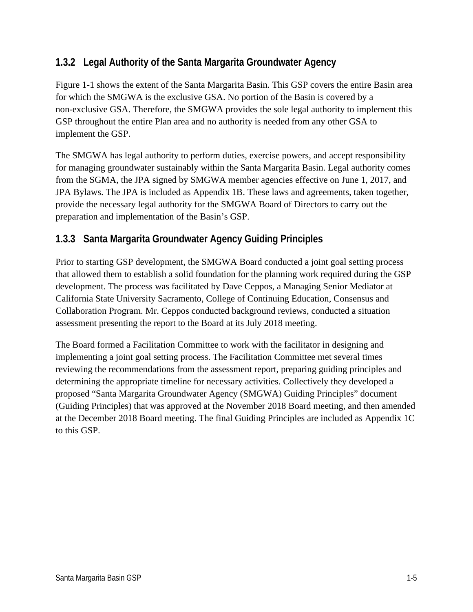### <span id="page-5-0"></span>**1.3.2 Legal Authority of the Santa Margarita Groundwater Agency**

[Figure 1-1](#page-6-0) shows the extent of the Santa Margarita Basin. This GSP covers the entire Basin area for which the SMGWA is the exclusive GSA. No portion of the Basin is covered by a non-exclusive GSA. Therefore, the SMGWA provides the sole legal authority to implement this GSP throughout the entire Plan area and no authority is needed from any other GSA to implement the GSP.

The SMGWA has legal authority to perform duties, exercise powers, and accept responsibility for managing groundwater sustainably within the Santa Margarita Basin. Legal authority comes from the SGMA, the JPA signed by SMGWA member agencies effective on June 1, 2017, and JPA Bylaws. The JPA is included as Appendix 1B. These laws and agreements, taken together, provide the necessary legal authority for the SMGWA Board of Directors to carry out the preparation and implementation of the Basin's GSP.

### <span id="page-5-1"></span>**1.3.3 Santa Margarita Groundwater Agency Guiding Principles**

Prior to starting GSP development, the SMGWA Board conducted a joint goal setting process that allowed them to establish a solid foundation for the planning work required during the GSP development. The process was facilitated by Dave Ceppos, a Managing Senior Mediator at California State University Sacramento, College of Continuing Education, Consensus and Collaboration Program. Mr. Ceppos conducted background reviews, conducted a situation assessment presenting the report to the Board at its July 2018 meeting.

The Board formed a Facilitation Committee to work with the facilitator in designing and implementing a joint goal setting process. The Facilitation Committee met several times reviewing the recommendations from the assessment report, preparing guiding principles and determining the appropriate timeline for necessary activities. Collectively they developed a proposed "Santa Margarita Groundwater Agency (SMGWA) Guiding Principles" document (Guiding Principles) that was approved at the November 2018 Board meeting, and then amended at the December 2018 Board meeting. The final Guiding Principles are included as Appendix 1C to this GSP.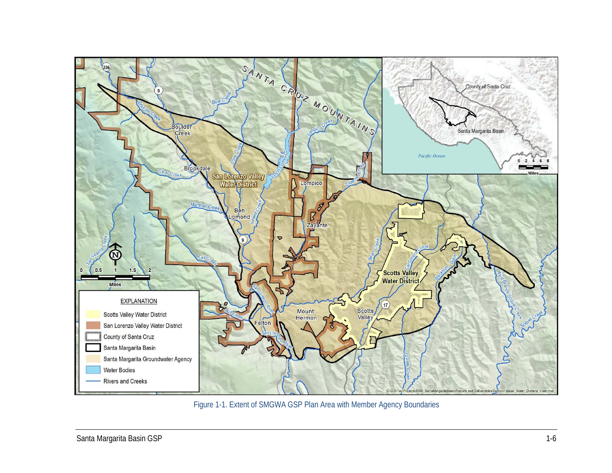

<span id="page-6-0"></span>Figure 1-1. Extent of SMGWA GSP Plan Area with Member Agency Boundaries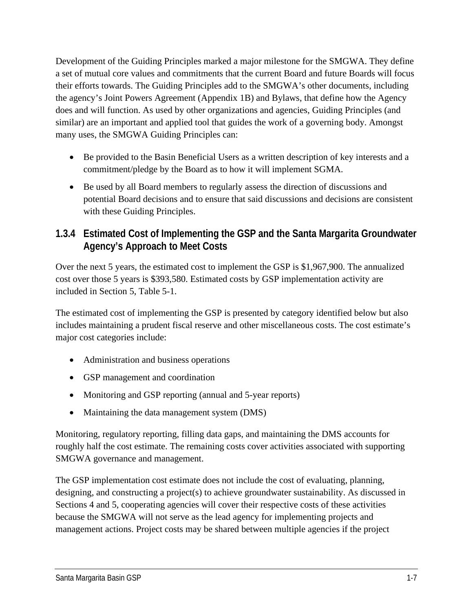Development of the Guiding Principles marked a major milestone for the SMGWA. They define a set of mutual core values and commitments that the current Board and future Boards will focus their efforts towards. The Guiding Principles add to the SMGWA's other documents, including the agency's Joint Powers Agreement (Appendix 1B) and Bylaws, that define how the Agency does and will function. As used by other organizations and agencies, Guiding Principles (and similar) are an important and applied tool that guides the work of a governing body. Amongst many uses, the SMGWA Guiding Principles can:

- Be provided to the Basin Beneficial Users as a written description of key interests and a commitment/pledge by the Board as to how it will implement SGMA.
- Be used by all Board members to regularly assess the direction of discussions and potential Board decisions and to ensure that said discussions and decisions are consistent with these Guiding Principles.

### <span id="page-7-0"></span>**1.3.4 Estimated Cost of Implementing the GSP and the Santa Margarita Groundwater Agency's Approach to Meet Costs**

Over the next 5 years, the estimated cost to implement the GSP is \$1,967,900. The annualized cost over those 5 years is \$393,580. Estimated costs by GSP implementation activity are included in Section 5, Table 5-1.

The estimated cost of implementing the GSP is presented by category identified below but also includes maintaining a prudent fiscal reserve and other miscellaneous costs. The cost estimate's major cost categories include:

- Administration and business operations
- GSP management and coordination
- Monitoring and GSP reporting (annual and 5-year reports)
- Maintaining the data management system (DMS)

Monitoring, regulatory reporting, filling data gaps, and maintaining the DMS accounts for roughly half the cost estimate. The remaining costs cover activities associated with supporting SMGWA governance and management.

The GSP implementation cost estimate does not include the cost of evaluating, planning, designing, and constructing a project(s) to achieve groundwater sustainability. As discussed in Sections 4 and 5, cooperating agencies will cover their respective costs of these activities because the SMGWA will not serve as the lead agency for implementing projects and management actions. Project costs may be shared between multiple agencies if the project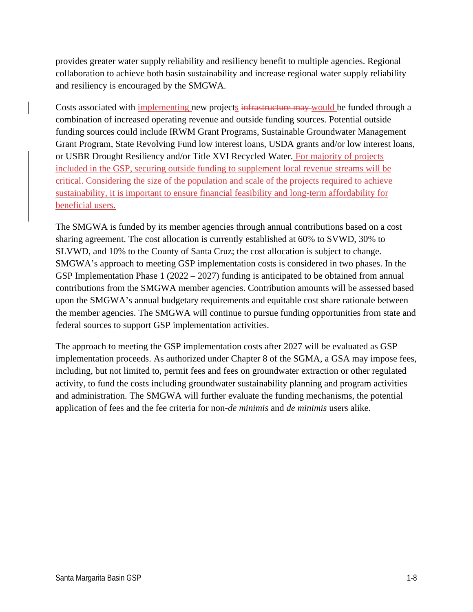provides greater water supply reliability and resiliency benefit to multiple agencies. Regional collaboration to achieve both basin sustainability and increase regional water supply reliability and resiliency is encouraged by the SMGWA.

Costs associated with implementing new projects infrastructure may would be funded through a combination of increased operating revenue and outside funding sources. Potential outside funding sources could include IRWM Grant Programs, Sustainable Groundwater Management Grant Program, State Revolving Fund low interest loans, USDA grants and/or low interest loans, or USBR Drought Resiliency and/or Title XVI Recycled Water. For majority of projects included in the GSP, securing outside funding to supplement local revenue streams will be critical. Considering the size of the population and scale of the projects required to achieve sustainability, it is important to ensure financial feasibility and long-term affordability for beneficial users.

The SMGWA is funded by its member agencies through annual contributions based on a cost sharing agreement. The cost allocation is currently established at 60% to SVWD, 30% to SLVWD, and 10% to the County of Santa Cruz; the cost allocation is subject to change. SMGWA's approach to meeting GSP implementation costs is considered in two phases. In the GSP Implementation Phase 1 (2022 – 2027) funding is anticipated to be obtained from annual contributions from the SMGWA member agencies. Contribution amounts will be assessed based upon the SMGWA's annual budgetary requirements and equitable cost share rationale between the member agencies. The SMGWA will continue to pursue funding opportunities from state and federal sources to support GSP implementation activities.

The approach to meeting the GSP implementation costs after 2027 will be evaluated as GSP implementation proceeds. As authorized under Chapter 8 of the SGMA, a GSA may impose fees, including, but not limited to, permit fees and fees on groundwater extraction or other regulated activity, to fund the costs including groundwater sustainability planning and program activities and administration. The SMGWA will further evaluate the funding mechanisms, the potential application of fees and the fee criteria for non-*de minimis* and *de minimis* users alike.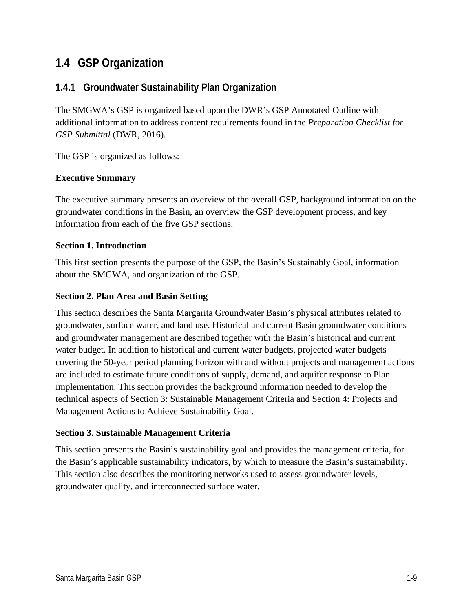## <span id="page-9-0"></span>**1.4 GSP Organization**

### <span id="page-9-1"></span>**1.4.1 Groundwater Sustainability Plan Organization**

The SMGWA's GSP is organized based upon the DWR's GSP Annotated Outline with additional information to address content requirements found in the *Preparation Checklist for GSP Submittal* (DWR, 2016)*.*

The GSP is organized as follows:

#### **Executive Summary**

The executive summary presents an overview of the overall GSP, background information on the groundwater conditions in the Basin, an overview the GSP development process, and key information from each of the five GSP sections.

#### **Section 1. Introduction**

This first section presents the purpose of the GSP, the Basin's Sustainably Goal, information about the SMGWA, and organization of the GSP.

#### **Section 2. Plan Area and Basin Setting**

This section describes the Santa Margarita Groundwater Basin's physical attributes related to groundwater, surface water, and land use. Historical and current Basin groundwater conditions and groundwater management are described together with the Basin's historical and current water budget. In addition to historical and current water budgets, projected water budgets covering the 50-year period planning horizon with and without projects and management actions are included to estimate future conditions of supply, demand, and aquifer response to Plan implementation. This section provides the background information needed to develop the technical aspects of Section 3: Sustainable Management Criteria and Section 4: Projects and Management Actions to Achieve Sustainability Goal.

#### **Section 3. Sustainable Management Criteria**

This section presents the Basin's sustainability goal and provides the management criteria, for the Basin's applicable sustainability indicators, by which to measure the Basin's sustainability. This section also describes the monitoring networks used to assess groundwater levels, groundwater quality, and interconnected surface water.